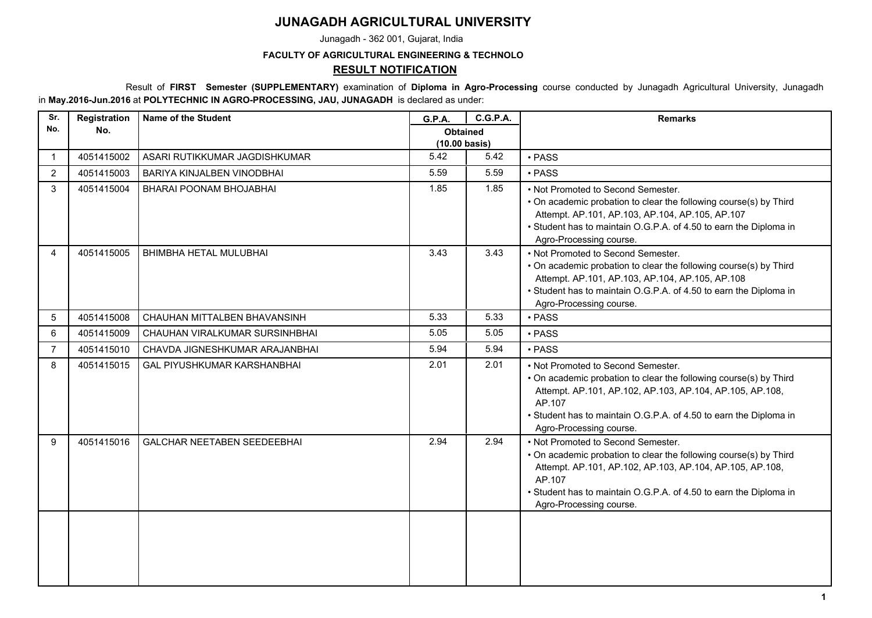## **JUNAGADH AGRICULTURAL UNIVERSITY**

Junagadh - 362 001, Gujarat, India

## **FACULTY OF AGRICULTURAL ENGINEERING & TECHNOLO**

## **RESULT NOTIFICATION**

 Result of **FIRST Semester (SUPPLEMENTARY)** examination of **Diploma in Agro-Processing** course conducted by Junagadh Agricultural University, Junagadh in **May.2016-Jun.2016** at **POLYTECHNIC IN AGRO-PROCESSING, JAU, JUNAGADH** is declared as under:

| Sr.            | Registration | <b>Name of the Student</b>         | G.P.A.                                     | <b>C.G.P.A.</b> | <b>Remarks</b>                                                                                                                                                                                                                                                                |
|----------------|--------------|------------------------------------|--------------------------------------------|-----------------|-------------------------------------------------------------------------------------------------------------------------------------------------------------------------------------------------------------------------------------------------------------------------------|
| No.            | No.          |                                    | <b>Obtained</b><br>$(10.00 \text{ basis})$ |                 |                                                                                                                                                                                                                                                                               |
| $\overline{1}$ | 4051415002   | ASARI RUTIKKUMAR JAGDISHKUMAR      | 5.42                                       | 5.42            | · PASS                                                                                                                                                                                                                                                                        |
| 2              | 4051415003   | BARIYA KINJALBEN VINODBHAI         | 5.59                                       | 5.59            | · PASS                                                                                                                                                                                                                                                                        |
| 3              | 4051415004   | BHARAI POONAM BHOJABHAI            | 1.85                                       | 1.85            | • Not Promoted to Second Semester.<br>• On academic probation to clear the following course(s) by Third<br>Attempt. AP.101, AP.103, AP.104, AP.105, AP.107<br>• Student has to maintain O.G.P.A. of 4.50 to earn the Diploma in<br>Agro-Processing course.                    |
| 4              | 4051415005   | BHIMBHA HETAL MULUBHAI             | 3.43                                       | 3.43            | • Not Promoted to Second Semester.<br>• On academic probation to clear the following course(s) by Third<br>Attempt. AP.101, AP.103, AP.104, AP.105, AP.108<br>• Student has to maintain O.G.P.A. of 4.50 to earn the Diploma in<br>Agro-Processing course.                    |
| 5              | 4051415008   | CHAUHAN MITTALBEN BHAVANSINH       | 5.33                                       | 5.33            | · PASS                                                                                                                                                                                                                                                                        |
| 6              | 4051415009   | CHAUHAN VIRALKUMAR SURSINHBHAI     | 5.05                                       | 5.05            | • PASS                                                                                                                                                                                                                                                                        |
| $\overline{7}$ | 4051415010   | CHAVDA JIGNESHKUMAR ARAJANBHAI     | 5.94                                       | 5.94            | • PASS                                                                                                                                                                                                                                                                        |
| 8              | 4051415015   | <b>GAL PIYUSHKUMAR KARSHANBHAI</b> | 2.01                                       | 2.01            | • Not Promoted to Second Semester.<br>• On academic probation to clear the following course(s) by Third<br>Attempt. AP.101, AP.102, AP.103, AP.104, AP.105, AP.108,<br>AP.107<br>• Student has to maintain O.G.P.A. of 4.50 to earn the Diploma in<br>Agro-Processing course. |
| 9              | 4051415016   | <b>GALCHAR NEETABEN SEEDEEBHAI</b> | 2.94                                       | 2.94            | • Not Promoted to Second Semester.<br>• On academic probation to clear the following course(s) by Third<br>Attempt. AP.101, AP.102, AP.103, AP.104, AP.105, AP.108,<br>AP.107<br>• Student has to maintain O.G.P.A. of 4.50 to earn the Diploma in<br>Agro-Processing course. |
|                |              |                                    |                                            |                 |                                                                                                                                                                                                                                                                               |